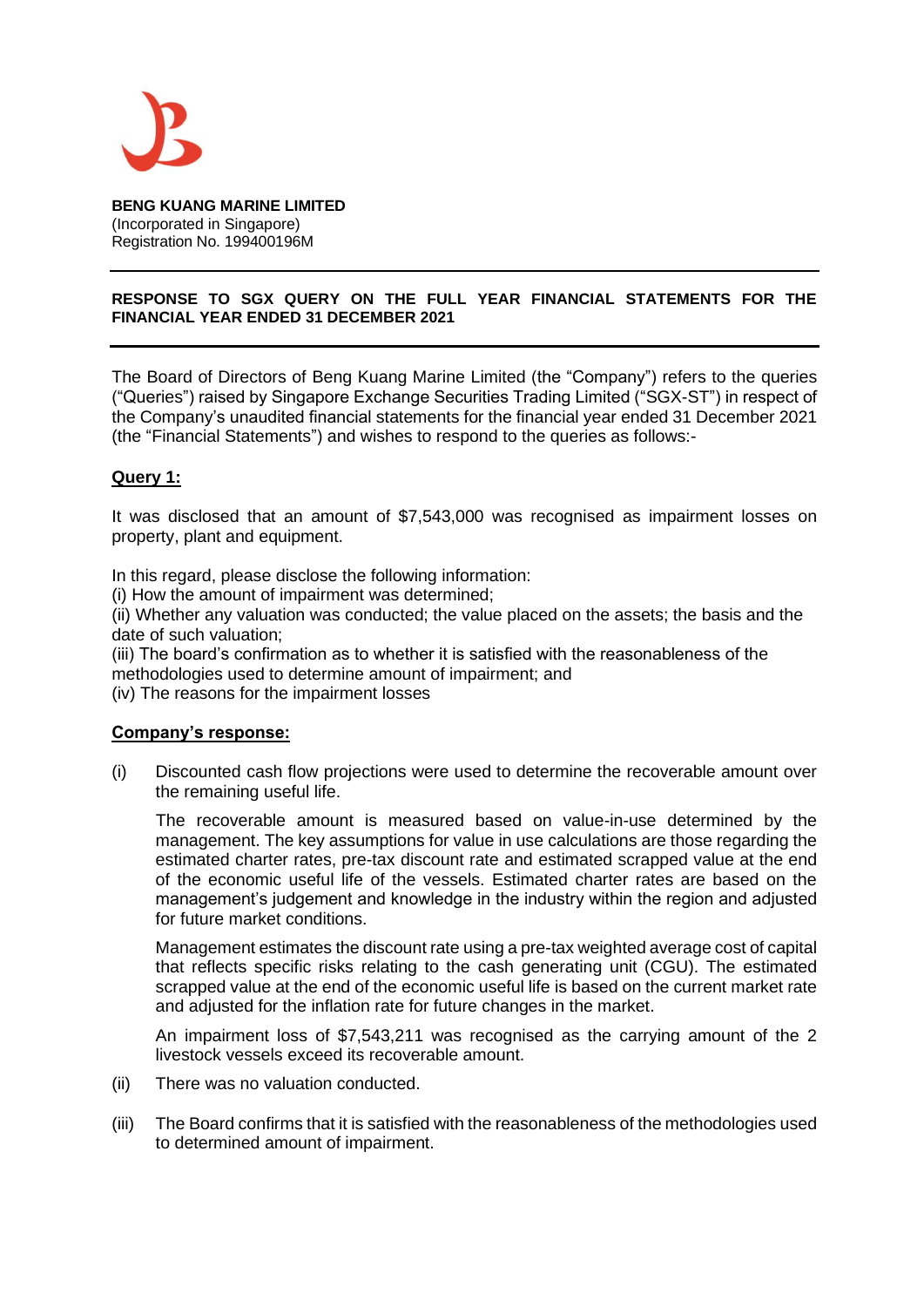

**BENG KUANG MARINE LIMITED**  (Incorporated in Singapore) Registration No. 199400196M

#### **RESPONSE TO SGX QUERY ON THE FULL YEAR FINANCIAL STATEMENTS FOR THE FINANCIAL YEAR ENDED 31 DECEMBER 2021**

The Board of Directors of Beng Kuang Marine Limited (the "Company") refers to the queries ("Queries") raised by Singapore Exchange Securities Trading Limited ("SGX-ST") in respect of the Company's unaudited financial statements for the financial year ended 31 December 2021 (the "Financial Statements") and wishes to respond to the queries as follows:-

### **Query 1:**

It was disclosed that an amount of \$7,543,000 was recognised as impairment losses on property, plant and equipment.

In this regard, please disclose the following information:

(i) How the amount of impairment was determined;

(ii) Whether any valuation was conducted; the value placed on the assets; the basis and the date of such valuation;

(iii) The board's confirmation as to whether it is satisfied with the reasonableness of the methodologies used to determine amount of impairment; and

(iv) The reasons for the impairment losses

#### **Company's response:**

(i) Discounted cash flow projections were used to determine the recoverable amount over the remaining useful life.

The recoverable amount is measured based on value-in-use determined by the management. The key assumptions for value in use calculations are those regarding the estimated charter rates, pre-tax discount rate and estimated scrapped value at the end of the economic useful life of the vessels. Estimated charter rates are based on the management's judgement and knowledge in the industry within the region and adjusted for future market conditions.

Management estimates the discount rate using a pre-tax weighted average cost of capital that reflects specific risks relating to the cash generating unit (CGU). The estimated scrapped value at the end of the economic useful life is based on the current market rate and adjusted for the inflation rate for future changes in the market.

An impairment loss of \$7,543,211 was recognised as the carrying amount of the 2 livestock vessels exceed its recoverable amount.

- (ii) There was no valuation conducted.
- (iii) The Board confirms that it is satisfied with the reasonableness of the methodologies used to determined amount of impairment.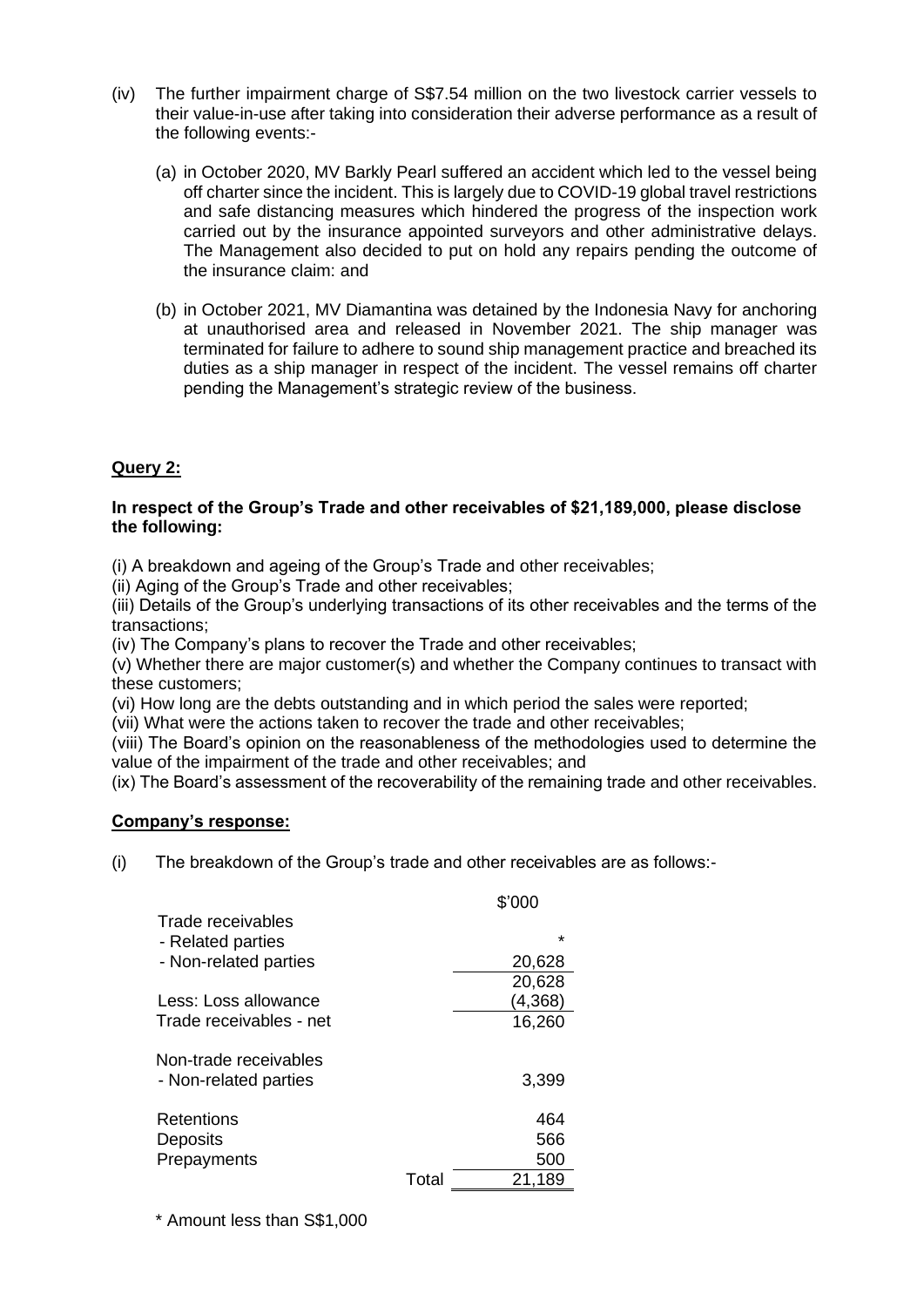- (iv) The further impairment charge of S\$7.54 million on the two livestock carrier vessels to their value-in-use after taking into consideration their adverse performance as a result of the following events:-
	- (a) in October 2020, MV Barkly Pearl suffered an accident which led to the vessel being off charter since the incident. This is largely due to COVID-19 global travel restrictions and safe distancing measures which hindered the progress of the inspection work carried out by the insurance appointed surveyors and other administrative delays. The Management also decided to put on hold any repairs pending the outcome of the insurance claim: and
	- (b) in October 2021, MV Diamantina was detained by the Indonesia Navy for anchoring at unauthorised area and released in November 2021. The ship manager was terminated for failure to adhere to sound ship management practice and breached its duties as a ship manager in respect of the incident. The vessel remains off charter pending the Management's strategic review of the business.

# **Query 2:**

## **In respect of the Group's Trade and other receivables of \$21,189,000, please disclose the following:**

(i) A breakdown and ageing of the Group's Trade and other receivables;

(ii) Aging of the Group's Trade and other receivables;

(iii) Details of the Group's underlying transactions of its other receivables and the terms of the transactions;

(iv) The Company's plans to recover the Trade and other receivables;

(v) Whether there are major customer(s) and whether the Company continues to transact with these customers;

(vi) How long are the debts outstanding and in which period the sales were reported;

(vii) What were the actions taken to recover the trade and other receivables;

(viii) The Board's opinion on the reasonableness of the methodologies used to determine the value of the impairment of the trade and other receivables; and

(ix) The Board's assessment of the recoverability of the remaining trade and other receivables.

### **Company's response:**

(i) The breakdown of the Group's trade and other receivables are as follows:-

|                                                |       | \$'000  |
|------------------------------------------------|-------|---------|
| Trade receivables<br>- Related parties         |       | $\star$ |
| - Non-related parties                          |       | 20,628  |
|                                                |       | 20,628  |
| Less: Loss allowance                           |       | (4,368) |
| Trade receivables - net                        |       | 16,260  |
| Non-trade receivables<br>- Non-related parties |       | 3,399   |
| Retentions                                     |       | 464     |
| Deposits                                       |       | 566     |
| Prepayments                                    |       | 500     |
|                                                | Total | 21.189  |

\* Amount less than S\$1,000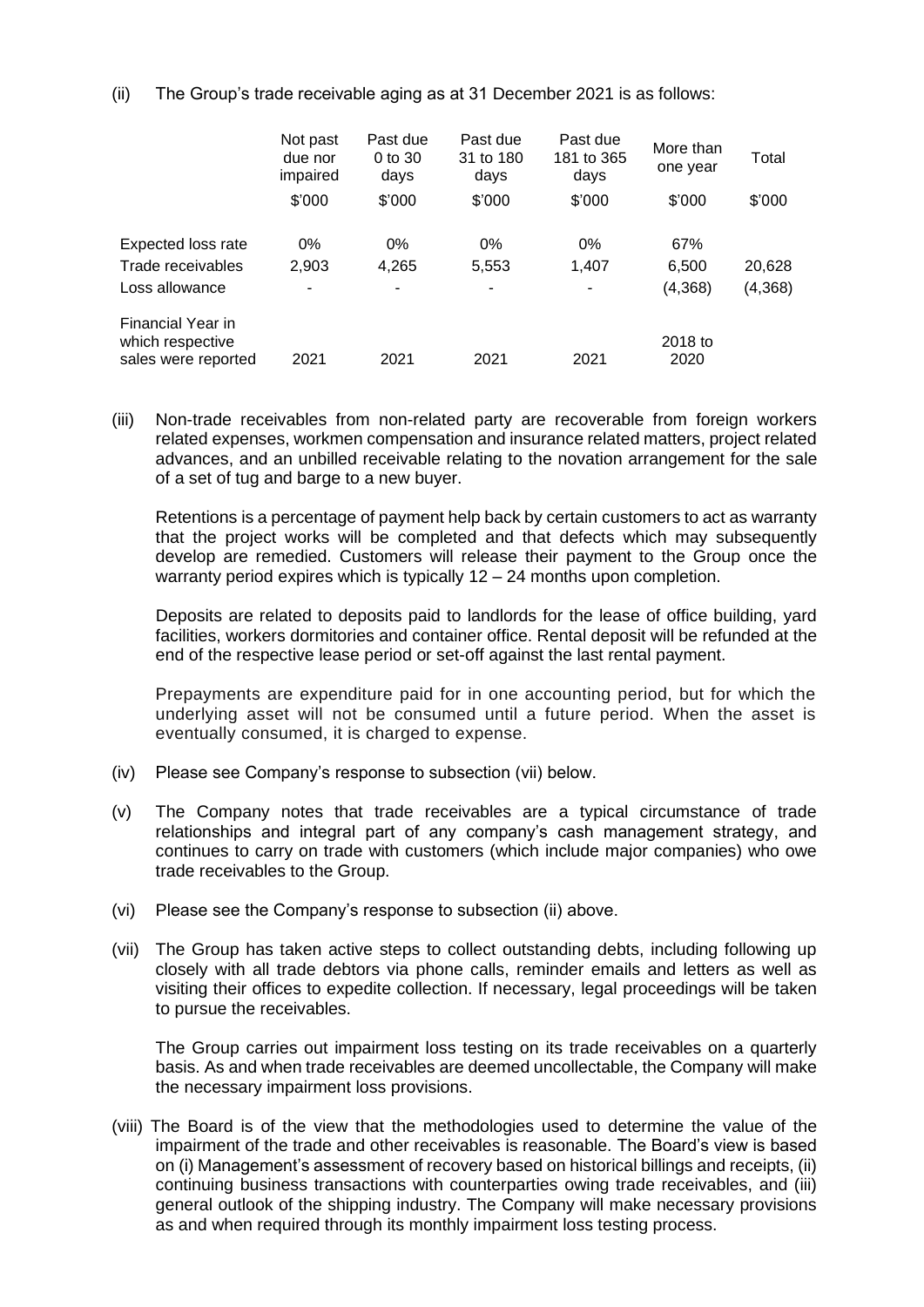(ii) The Group's trade receivable aging as at 31 December 2021 is as follows:

|                                                              | Not past<br>due nor<br>impaired | Past due<br>$0$ to $30$<br>days | Past due<br>31 to 180<br>days | Past due<br>181 to 365<br>days | More than<br>one year | Total    |
|--------------------------------------------------------------|---------------------------------|---------------------------------|-------------------------------|--------------------------------|-----------------------|----------|
|                                                              | \$'000                          | \$'000                          | \$'000                        | \$'000                         | \$'000                | \$'000   |
| Expected loss rate                                           | 0%                              | $0\%$                           | $0\%$                         | 0%                             | 67%                   |          |
| Trade receivables                                            | 2,903                           | 4,265                           | 5,553                         | 1,407                          | 6,500                 | 20,628   |
| Loss allowance                                               | ۰                               | ۰                               |                               | ۰                              | (4,368)               | (4, 368) |
| Financial Year in<br>which respective<br>sales were reported | 2021                            | 2021                            | 2021                          | 2021                           | 2018 to<br>2020       |          |

(iii) Non-trade receivables from non-related party are recoverable from foreign workers related expenses, workmen compensation and insurance related matters, project related advances, and an unbilled receivable relating to the novation arrangement for the sale of a set of tug and barge to a new buyer.

Retentions is a percentage of payment help back by certain customers to act as warranty that the project works will be completed and that defects which may subsequently develop are remedied. Customers will release their payment to the Group once the warranty period expires which is typically 12 – 24 months upon completion.

Deposits are related to deposits paid to landlords for the lease of office building, yard facilities, workers dormitories and container office. Rental deposit will be refunded at the end of the respective lease period or set-off against the last rental payment.

Prepayments are expenditure paid for in one accounting period, but for which the underlying asset will not be consumed until a future period. When the asset is eventually consumed, it is charged to expense.

- (iv) Please see Company's response to subsection (vii) below.
- (v) The Company notes that trade receivables are a typical circumstance of trade relationships and integral part of any company's cash management strategy, and continues to carry on trade with customers (which include major companies) who owe trade receivables to the Group.
- (vi) Please see the Company's response to subsection (ii) above.
- (vii) The Group has taken active steps to collect outstanding debts, including following up closely with all trade debtors via phone calls, reminder emails and letters as well as visiting their offices to expedite collection. If necessary, legal proceedings will be taken to pursue the receivables.

The Group carries out impairment loss testing on its trade receivables on a quarterly basis. As and when trade receivables are deemed uncollectable, the Company will make the necessary impairment loss provisions.

(viii) The Board is of the view that the methodologies used to determine the value of the impairment of the trade and other receivables is reasonable. The Board's view is based on (i) Management's assessment of recovery based on historical billings and receipts, (ii) continuing business transactions with counterparties owing trade receivables, and (iii) general outlook of the shipping industry. The Company will make necessary provisions as and when required through its monthly impairment loss testing process.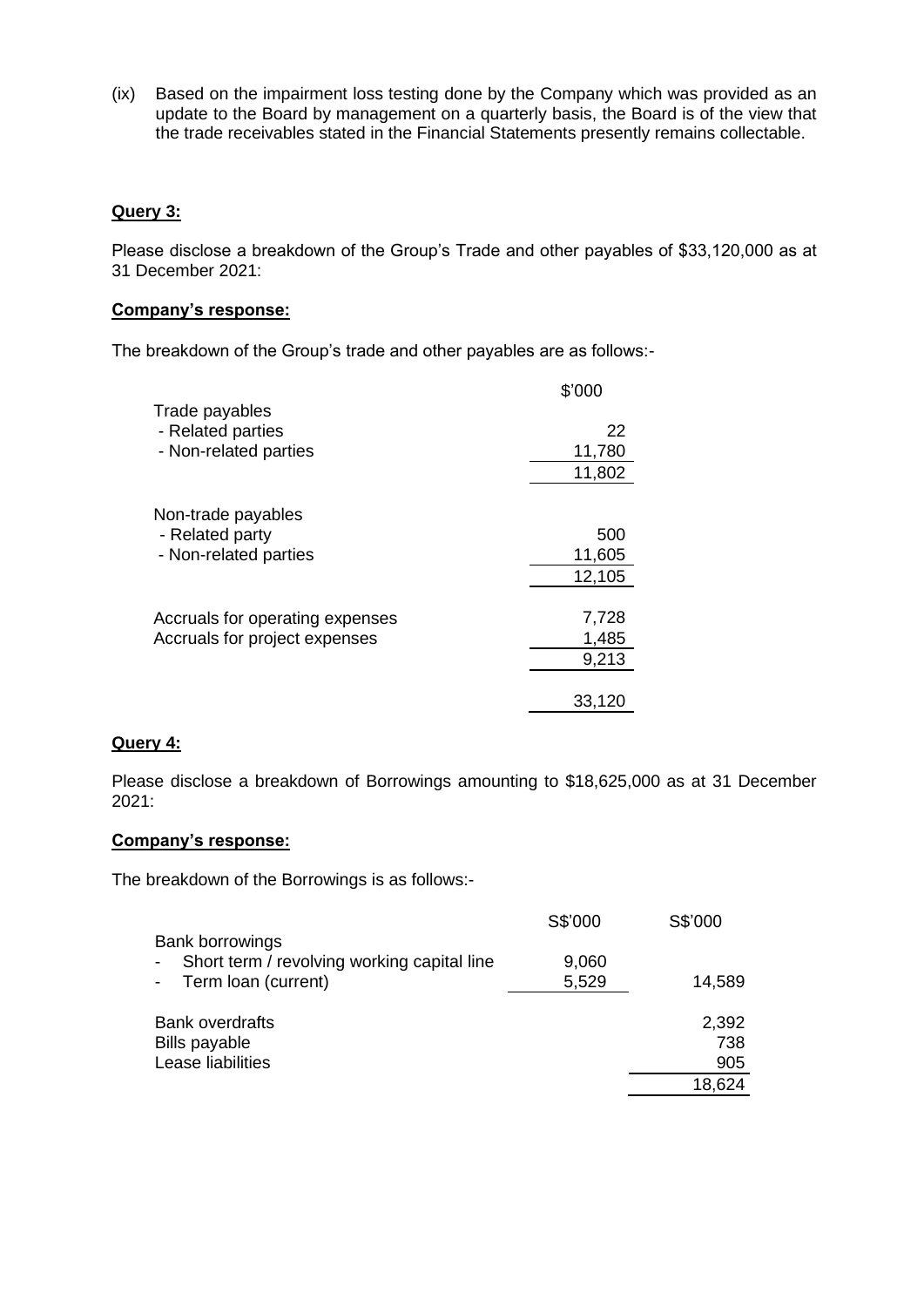(ix) Based on the impairment loss testing done by the Company which was provided as an update to the Board by management on a quarterly basis, the Board is of the view that the trade receivables stated in the Financial Statements presently remains collectable.

### **Query 3:**

Please disclose a breakdown of the Group's Trade and other payables of \$33,120,000 as at 31 December 2021:

#### **Company's response:**

The breakdown of the Group's trade and other payables are as follows:-

|                                     | \$'000 |
|-------------------------------------|--------|
| Trade payables<br>- Related parties | 22     |
| - Non-related parties               | 11,780 |
|                                     | 11,802 |
| Non-trade payables                  |        |
| - Related party                     | 500    |
| - Non-related parties               | 11,605 |
|                                     | 12,105 |
|                                     |        |
| Accruals for operating expenses     | 7,728  |
| Accruals for project expenses       | 1,485  |
|                                     | 9,213  |
|                                     |        |
|                                     | 33.120 |

## **Query 4:**

Please disclose a breakdown of Borrowings amounting to \$18,625,000 as at 31 December 2021:

#### **Company's response:**

The breakdown of the Borrowings is as follows:-

|                                                   | S\$'000 | S\$'000 |
|---------------------------------------------------|---------|---------|
| <b>Bank borrowings</b>                            |         |         |
| Short term / revolving working capital line<br>н. | 9,060   |         |
| - Term loan (current)                             | 5,529   | 14,589  |
| <b>Bank overdrafts</b>                            |         | 2,392   |
| <b>Bills payable</b>                              |         | 738     |
| Lease liabilities                                 |         | 905     |
|                                                   |         | 18,624  |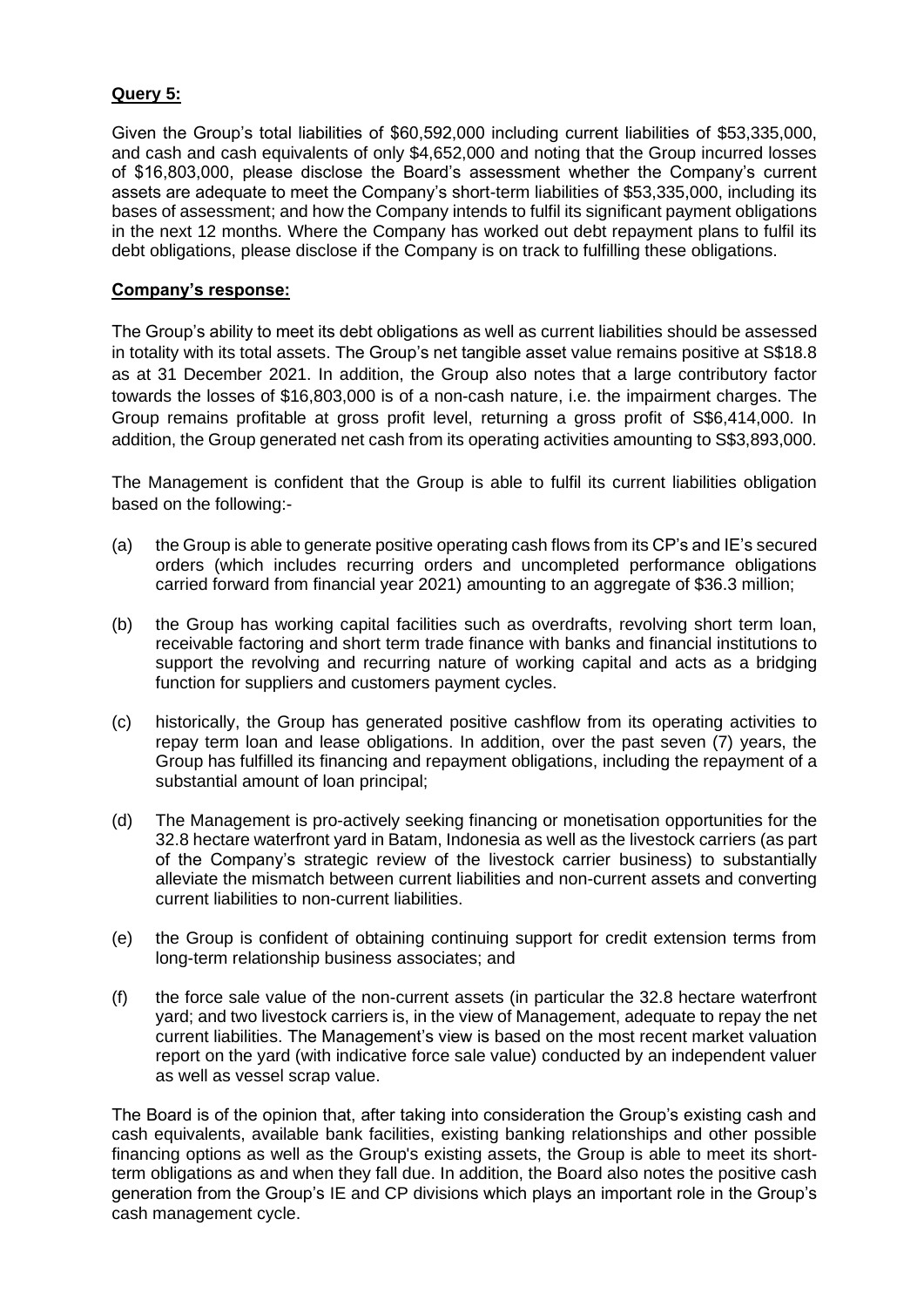# **Query 5:**

Given the Group's total liabilities of \$60,592,000 including current liabilities of \$53,335,000, and cash and cash equivalents of only \$4,652,000 and noting that the Group incurred losses of \$16,803,000, please disclose the Board's assessment whether the Company's current assets are adequate to meet the Company's short-term liabilities of \$53,335,000, including its bases of assessment; and how the Company intends to fulfil its significant payment obligations in the next 12 months. Where the Company has worked out debt repayment plans to fulfil its debt obligations, please disclose if the Company is on track to fulfilling these obligations.

## **Company's response:**

The Group's ability to meet its debt obligations as well as current liabilities should be assessed in totality with its total assets. The Group's net tangible asset value remains positive at S\$18.8 as at 31 December 2021. In addition, the Group also notes that a large contributory factor towards the losses of \$16,803,000 is of a non-cash nature, i.e. the impairment charges. The Group remains profitable at gross profit level, returning a gross profit of S\$6,414,000. In addition, the Group generated net cash from its operating activities amounting to S\$3,893,000.

The Management is confident that the Group is able to fulfil its current liabilities obligation based on the following:-

- (a) the Group is able to generate positive operating cash flows from its CP's and IE's secured orders (which includes recurring orders and uncompleted performance obligations carried forward from financial year 2021) amounting to an aggregate of \$36.3 million;
- (b) the Group has working capital facilities such as overdrafts, revolving short term loan, receivable factoring and short term trade finance with banks and financial institutions to support the revolving and recurring nature of working capital and acts as a bridging function for suppliers and customers payment cycles.
- (c) historically, the Group has generated positive cashflow from its operating activities to repay term loan and lease obligations. In addition, over the past seven (7) years, the Group has fulfilled its financing and repayment obligations, including the repayment of a substantial amount of loan principal;
- (d) The Management is pro-actively seeking financing or monetisation opportunities for the 32.8 hectare waterfront yard in Batam, Indonesia as well as the livestock carriers (as part of the Company's strategic review of the livestock carrier business) to substantially alleviate the mismatch between current liabilities and non-current assets and converting current liabilities to non-current liabilities.
- (e) the Group is confident of obtaining continuing support for credit extension terms from long-term relationship business associates; and
- (f) the force sale value of the non-current assets (in particular the 32.8 hectare waterfront yard; and two livestock carriers is, in the view of Management, adequate to repay the net current liabilities. The Management's view is based on the most recent market valuation report on the yard (with indicative force sale value) conducted by an independent valuer as well as vessel scrap value.

The Board is of the opinion that, after taking into consideration the Group's existing cash and cash equivalents, available bank facilities, existing banking relationships and other possible financing options as well as the Group's existing assets, the Group is able to meet its shortterm obligations as and when they fall due. In addition, the Board also notes the positive cash generation from the Group's IE and CP divisions which plays an important role in the Group's cash management cycle.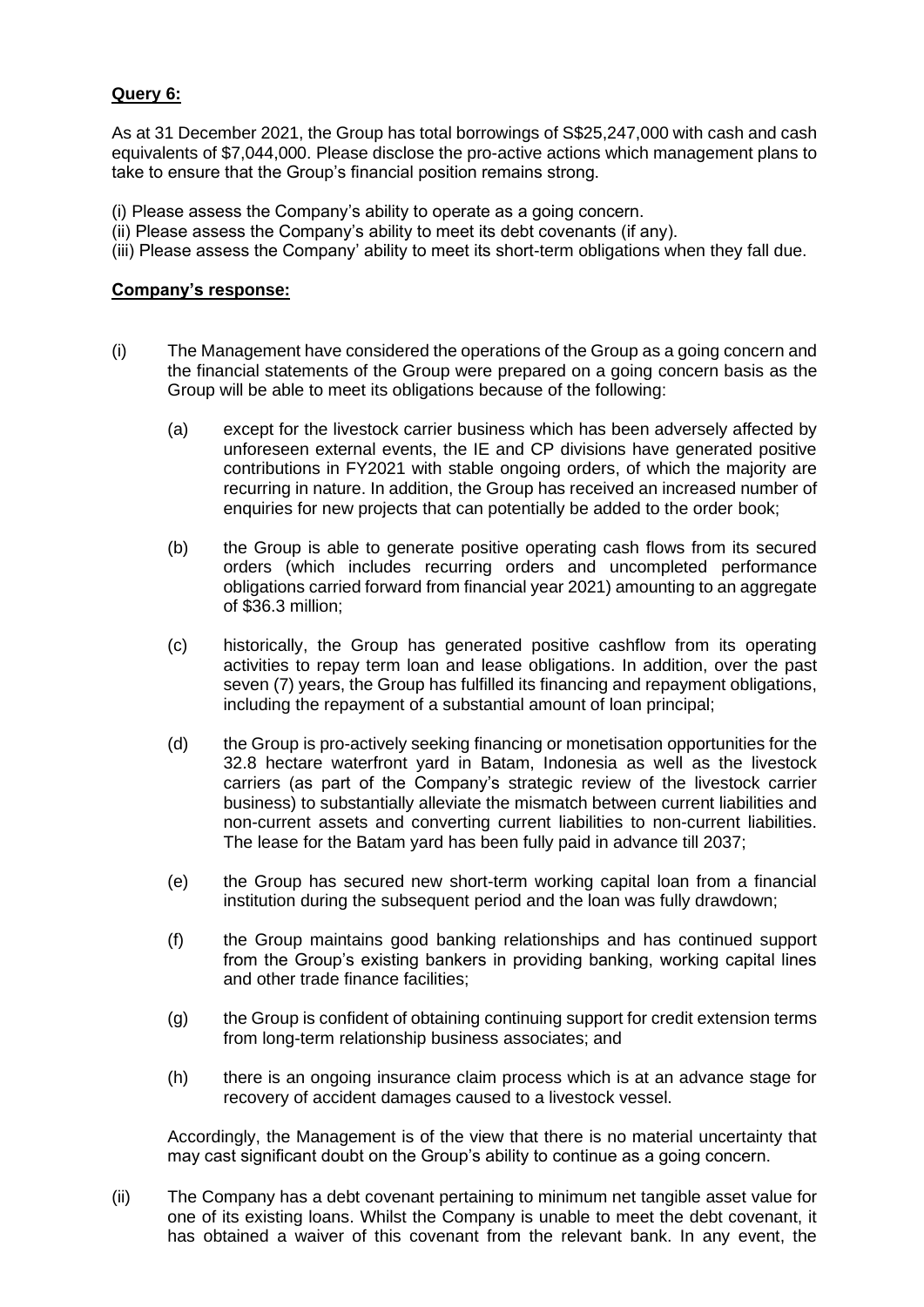# **Query 6:**

As at 31 December 2021, the Group has total borrowings of S\$25,247,000 with cash and cash equivalents of \$7,044,000. Please disclose the pro-active actions which management plans to take to ensure that the Group's financial position remains strong.

- (i) Please assess the Company's ability to operate as a going concern.
- (ii) Please assess the Company's ability to meet its debt covenants (if any).
- (iii) Please assess the Company' ability to meet its short-term obligations when they fall due.

#### **Company's response:**

- (i) The Management have considered the operations of the Group as a going concern and the financial statements of the Group were prepared on a going concern basis as the Group will be able to meet its obligations because of the following:
	- (a) except for the livestock carrier business which has been adversely affected by unforeseen external events, the IE and CP divisions have generated positive contributions in FY2021 with stable ongoing orders, of which the majority are recurring in nature. In addition, the Group has received an increased number of enquiries for new projects that can potentially be added to the order book;
	- (b) the Group is able to generate positive operating cash flows from its secured orders (which includes recurring orders and uncompleted performance obligations carried forward from financial year 2021) amounting to an aggregate of \$36.3 million;
	- (c) historically, the Group has generated positive cashflow from its operating activities to repay term loan and lease obligations. In addition, over the past seven (7) years, the Group has fulfilled its financing and repayment obligations, including the repayment of a substantial amount of loan principal;
	- (d) the Group is pro-actively seeking financing or monetisation opportunities for the 32.8 hectare waterfront yard in Batam, Indonesia as well as the livestock carriers (as part of the Company's strategic review of the livestock carrier business) to substantially alleviate the mismatch between current liabilities and non-current assets and converting current liabilities to non-current liabilities. The lease for the Batam yard has been fully paid in advance till 2037;
	- (e) the Group has secured new short-term working capital loan from a financial institution during the subsequent period and the loan was fully drawdown;
	- (f) the Group maintains good banking relationships and has continued support from the Group's existing bankers in providing banking, working capital lines and other trade finance facilities;
	- (g) the Group is confident of obtaining continuing support for credit extension terms from long-term relationship business associates; and
	- (h) there is an ongoing insurance claim process which is at an advance stage for recovery of accident damages caused to a livestock vessel.

Accordingly, the Management is of the view that there is no material uncertainty that may cast significant doubt on the Group's ability to continue as a going concern.

(ii) The Company has a debt covenant pertaining to minimum net tangible asset value for one of its existing loans. Whilst the Company is unable to meet the debt covenant, it has obtained a waiver of this covenant from the relevant bank. In any event, the